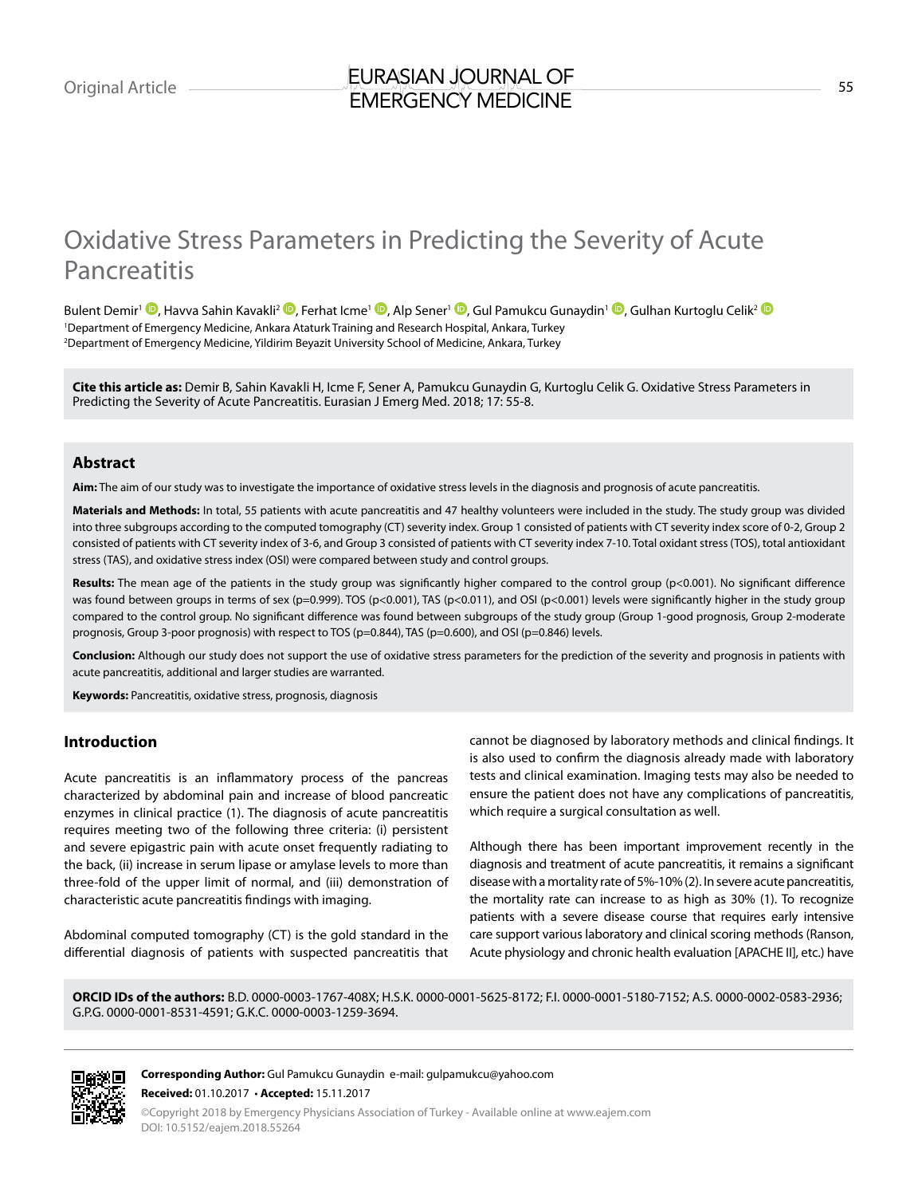# Oxidative Stress Parameters in Predicting the Severity of Acute Pancreatitis

Bulent Demir<sup>1</sup> ©[,](https://orcid.org/0000-0001-8531-4591) Havva Sahin Kavakli<sup>2</sup> ©[,](https://orcid.org/0000-0002-0583-2936) Ferhat Icme<sup>1 ©</sup>, Alp Sener<sup>1 ©</sup>, Gul Pamukcu Gunaydin<sup>1 ©</sup>, Gulhan Kurtoglu Celik<sup>[2](https://orcid.org/0000-0003-1259-3694) ©</sup> 1 Department of Emergency Medicine, Ankara Ataturk Training and Research Hospital, Ankara, Turkey 2 Department of Emergency Medicine, Yildirim Beyazit University School of Medicine, Ankara, Turkey

**Cite this article as:** Demir B, Sahin Kavakli H, Icme F, Sener A, Pamukcu Gunaydin G, Kurtoglu Celik G. Oxidative Stress Parameters in Predicting the Severity of Acute Pancreatitis. Eurasian J Emerg Med. 2018; 17: 55-8.

## **Abstract**

**Aim:** The aim of our study was to investigate the importance of oxidative stress levels in the diagnosis and prognosis of acute pancreatitis.

**Materials and Methods:** In total, 55 patients with acute pancreatitis and 47 healthy volunteers were included in the study. The study group was divided into three subgroups according to the computed tomography (CT) severity index. Group 1 consisted of patients with CT severity index score of 0-2, Group 2 consisted of patients with CT severity index of 3-6, and Group 3 consisted of patients with CT severity index 7-10. Total oxidant stress (TOS), total antioxidant stress (TAS), and oxidative stress index (OSI) were compared between study and control groups.

Results: The mean age of the patients in the study group was significantly higher compared to the control group (p<0.001). No significant difference was found between groups in terms of sex (p=0.999). TOS (p<0.001), TAS (p<0.011), and OSI (p<0.001) levels were significantly higher in the study group compared to the control group. No significant difference was found between subgroups of the study group (Group 1-good prognosis, Group 2-moderate prognosis, Group 3-poor prognosis) with respect to TOS (p=0.844), TAS (p=0.600), and OSI (p=0.846) levels.

**Conclusion:** Although our study does not support the use of oxidative stress parameters for the prediction of the severity and prognosis in patients with acute pancreatitis, additional and larger studies are warranted.

**Keywords:** Pancreatitis, oxidative stress, prognosis, diagnosis

# **Introduction**

Acute pancreatitis is an inflammatory process of the pancreas characterized by abdominal pain and increase of blood pancreatic enzymes in clinical practice (1). The diagnosis of acute pancreatitis requires meeting two of the following three criteria: (i) persistent and severe epigastric pain with acute onset frequently radiating to the back, (ii) increase in serum lipase or amylase levels to more than three-fold of the upper limit of normal, and (iii) demonstration of characteristic acute pancreatitis findings with imaging.

Abdominal computed tomography (CT) is the gold standard in the differential diagnosis of patients with suspected pancreatitis that

cannot be diagnosed by laboratory methods and clinical findings. It is also used to confirm the diagnosis already made with laboratory tests and clinical examination. Imaging tests may also be needed to ensure the patient does not have any complications of pancreatitis, which require a surgical consultation as well.

Although there has been important improvement recently in the diagnosis and treatment of acute pancreatitis, it remains a significant disease with a mortality rate of 5%-10% (2). In severe acute pancreatitis, the mortality rate can increase to as high as 30% (1). To recognize patients with a severe disease course that requires early intensive care support various laboratory and clinical scoring methods (Ranson, Acute physiology and chronic health evaluation [APACHE II], etc.) have

**ORCID IDs of the authors:** B.D. 0000-0003-1767-408X; H.S.K. 0000-0001-5625-8172; F.I. 0000-0001-5180-7152; A.S. 0000-0002-0583-2936; G.P.G. 0000-0001-8531-4591; G.K.C. 0000-0003-1259-3694.

**Corresponding Author:** Gul Pamukcu Gunaydin e-mail: gulpamukcu@yahoo.com **Received:** 01.10.2017 • **Accepted:** 15.11.2017

©Copyright 2018 by Emergency Physicians Association of Turkey - Available online at www.eajem.com DOI: 10.5152/eajem.2018.55264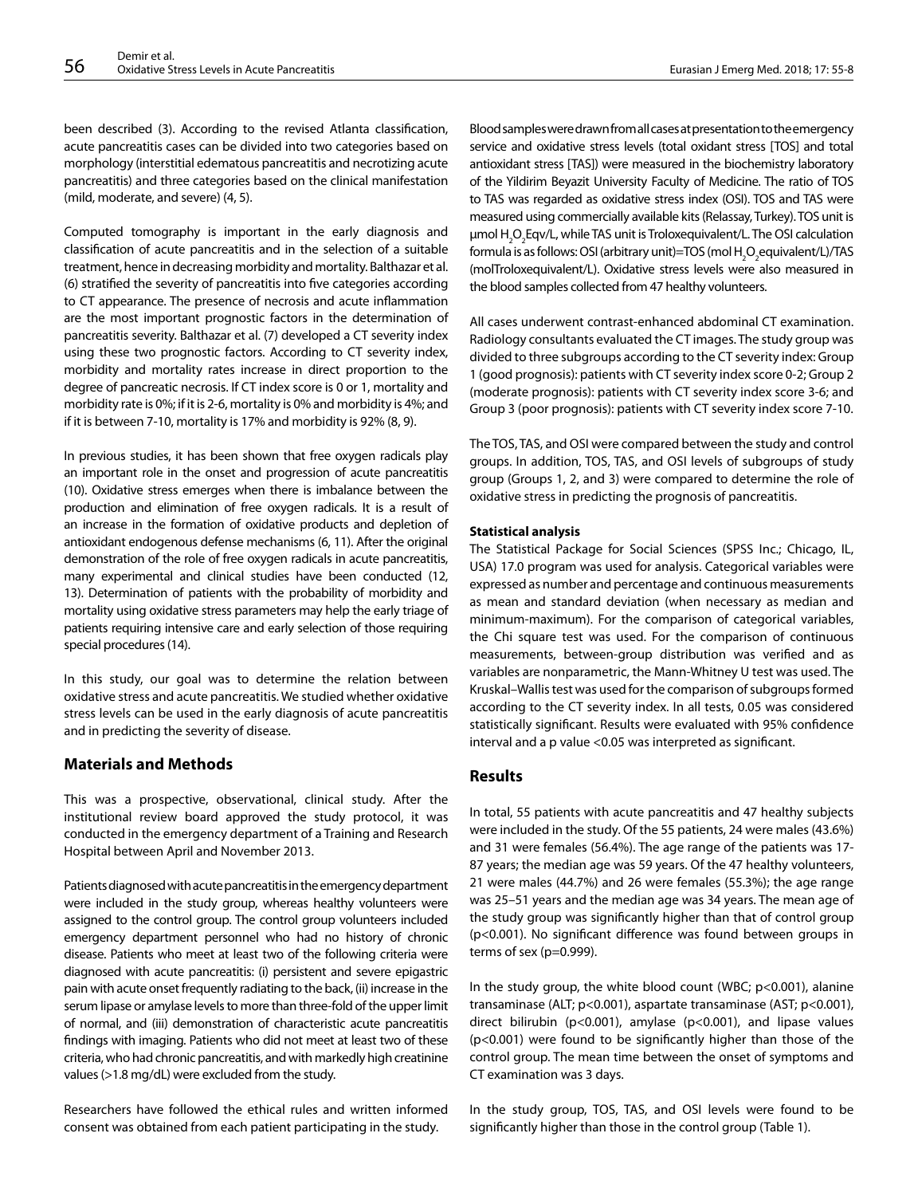been described (3). According to the revised Atlanta classification, acute pancreatitis cases can be divided into two categories based on morphology (interstitial edematous pancreatitis and necrotizing acute pancreatitis) and three categories based on the clinical manifestation (mild, moderate, and severe) (4, 5).

Computed tomography is important in the early diagnosis and classification of acute pancreatitis and in the selection of a suitable treatment, hence in decreasing morbidity and mortality. Balthazar et al. (6) stratified the severity of pancreatitis into five categories according to CT appearance. The presence of necrosis and acute inflammation are the most important prognostic factors in the determination of pancreatitis severity. Balthazar et al. (7) developed a CT severity index using these two prognostic factors. According to CT severity index, morbidity and mortality rates increase in direct proportion to the degree of pancreatic necrosis. If CT index score is 0 or 1, mortality and morbidity rate is 0%; if it is 2-6, mortality is 0% and morbidity is 4%; and if it is between 7-10, mortality is 17% and morbidity is 92% (8, 9).

In previous studies, it has been shown that free oxygen radicals play an important role in the onset and progression of acute pancreatitis (10). Oxidative stress emerges when there is imbalance between the production and elimination of free oxygen radicals. It is a result of an increase in the formation of oxidative products and depletion of antioxidant endogenous defense mechanisms (6, 11). After the original demonstration of the role of free oxygen radicals in acute pancreatitis, many experimental and clinical studies have been conducted (12, 13). Determination of patients with the probability of morbidity and mortality using oxidative stress parameters may help the early triage of patients requiring intensive care and early selection of those requiring special procedures (14).

In this study, our goal was to determine the relation between oxidative stress and acute pancreatitis. We studied whether oxidative stress levels can be used in the early diagnosis of acute pancreatitis and in predicting the severity of disease.

# **Materials and Methods**

This was a prospective, observational, clinical study. After the institutional review board approved the study protocol, it was conducted in the emergency department of a Training and Research Hospital between April and November 2013.

Patients diagnosed with acute pancreatitis in the emergency department were included in the study group, whereas healthy volunteers were assigned to the control group. The control group volunteers included emergency department personnel who had no history of chronic disease. Patients who meet at least two of the following criteria were diagnosed with acute pancreatitis: (i) persistent and severe epigastric pain with acute onset frequently radiating to the back, (ii) increase in the serum lipase or amylase levels to more than three-fold of the upper limit of normal, and (iii) demonstration of characteristic acute pancreatitis findings with imaging. Patients who did not meet at least two of these criteria, who had chronic pancreatitis, and with markedly high creatinine values (>1.8 mg/dL) were excluded from the study.

Researchers have followed the ethical rules and written informed consent was obtained from each patient participating in the study.

Blood samples were drawn from all cases at presentation to the emergency service and oxidative stress levels (total oxidant stress [TOS] and total antioxidant stress [TAS]) were measured in the biochemistry laboratory of the Yildirim Beyazit University Faculty of Medicine. The ratio of TOS to TAS was regarded as oxidative stress index (OSI). TOS and TAS were measured using commercially available kits (Relassay, Turkey). TOS unit is μmol H<sub>2</sub>O<sub>2</sub>Eqv/L, while TAS unit is Troloxequivalent/L. The OSI calculation formula is as follows: OSI (arbitrary unit)=TOS (mol  $\mathsf{H}_{\mathsf{2}}\mathsf{O}_{\mathsf{2}}$ equivalent/L)/TAS (molTroloxequivalent/L). Oxidative stress levels were also measured in the blood samples collected from 47 healthy volunteers.

All cases underwent contrast-enhanced abdominal CT examination. Radiology consultants evaluated the CT images. The study group was divided to three subgroups according to the CT severity index: Group 1 (good prognosis): patients with CT severity index score 0-2; Group 2 (moderate prognosis): patients with CT severity index score 3-6; and Group 3 (poor prognosis): patients with CT severity index score 7-10.

The TOS, TAS, and OSI were compared between the study and control groups. In addition, TOS, TAS, and OSI levels of subgroups of study group (Groups 1, 2, and 3) were compared to determine the role of oxidative stress in predicting the prognosis of pancreatitis.

#### **Statistical analysis**

The Statistical Package for Social Sciences (SPSS Inc.; Chicago, IL, USA) 17.0 program was used for analysis. Categorical variables were expressed as number and percentage and continuous measurements as mean and standard deviation (when necessary as median and minimum-maximum). For the comparison of categorical variables, the Chi square test was used. For the comparison of continuous measurements, between-group distribution was verified and as variables are nonparametric, the Mann-Whitney U test was used. The Kruskal–Wallis test was used for the comparison of subgroups formed according to the CT severity index. In all tests, 0.05 was considered statistically significant. Results were evaluated with 95% confidence interval and a p value <0.05 was interpreted as significant.

# **Results**

In total, 55 patients with acute pancreatitis and 47 healthy subjects were included in the study. Of the 55 patients, 24 were males (43.6%) and 31 were females (56.4%). The age range of the patients was 17- 87 years; the median age was 59 years. Of the 47 healthy volunteers, 21 were males (44.7%) and 26 were females (55.3%); the age range was 25–51 years and the median age was 34 years. The mean age of the study group was significantly higher than that of control group (p<0.001). No significant difference was found between groups in terms of sex (p=0.999).

In the study group, the white blood count (WBC; p<0.001), alanine transaminase (ALT; p<0.001), aspartate transaminase (AST; p<0.001), direct bilirubin (p<0.001), amylase (p<0.001), and lipase values (p<0.001) were found to be significantly higher than those of the control group. The mean time between the onset of symptoms and CT examination was 3 days.

In the study group, TOS, TAS, and OSI levels were found to be significantly higher than those in the control group (Table 1).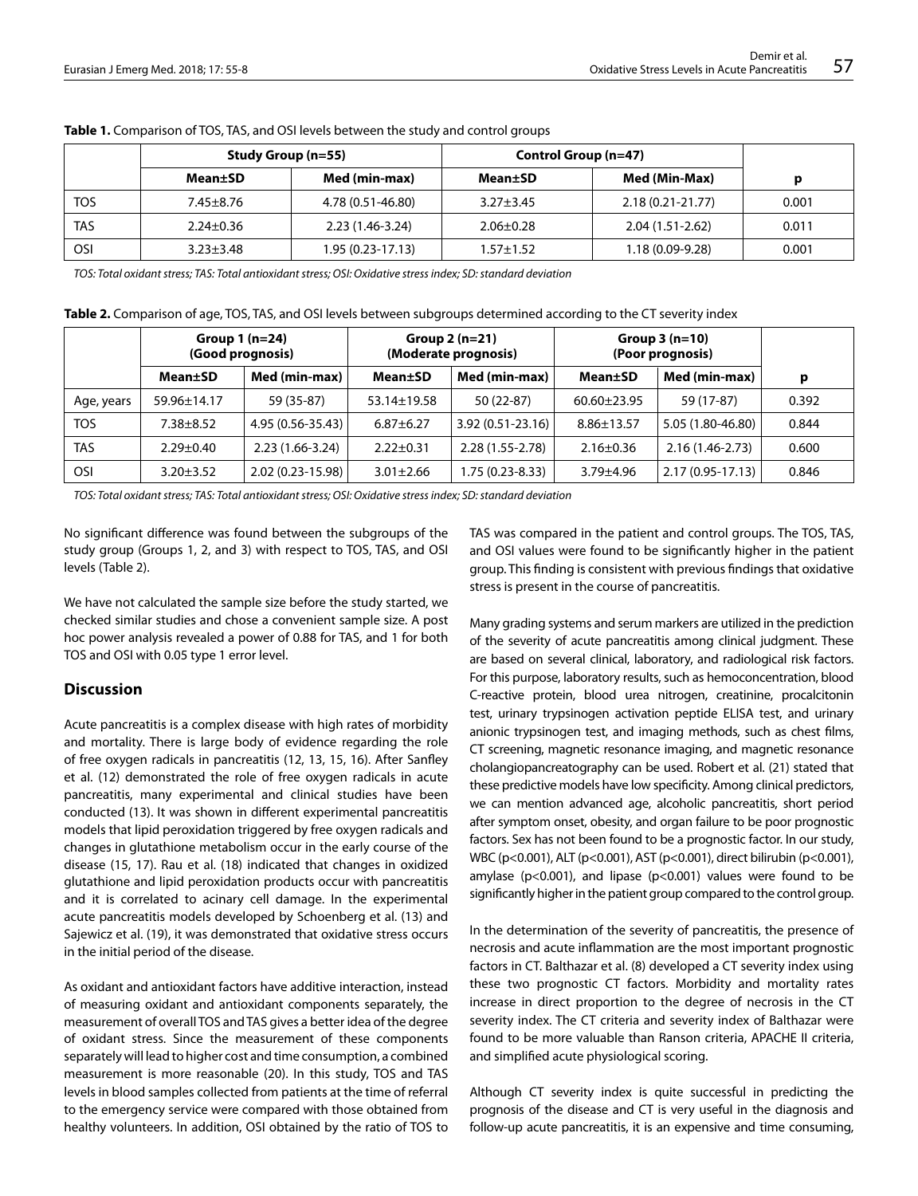|            | Study Group (n=55) |                   | Control Group (n=47) |                   |       |
|------------|--------------------|-------------------|----------------------|-------------------|-------|
|            | Mean±SD            | Med (min-max)     | Mean±SD              | Med (Min-Max)     |       |
| TOS        | $7.45 \pm 8.76$    | 4.78 (0.51-46.80) | $3.27 + 3.45$        | 2.18 (0.21-21.77) | 0.001 |
| TAS        | $2.24 \pm 0.36$    | $2.23(1.46-3.24)$ | $2.06 \pm 0.28$      | 2.04 (1.51-2.62)  | 0.011 |
| <b>OSI</b> | $3.23 \pm 3.48$    | 1.95 (0.23-17.13) | $1.57 + 1.52$        | $1.18(0.09-9.28)$ | 0.001 |

**Table 1.** Comparison of TOS, TAS, and OSI levels between the study and control groups

*TOS: Total oxidant stress; TAS: Total antioxidant stress; OSI: Oxidative stress index; SD: standard deviation*

**Table 2.** Comparison of age, TOS, TAS, and OSI levels between subgroups determined according to the CT severity index

|            | Group $1(n=24)$<br>(Good prognosis) |                   | Group $2(n=21)$<br>(Moderate prognosis) |                     | Group $3(n=10)$<br>(Poor prognosis) |                   |       |
|------------|-------------------------------------|-------------------|-----------------------------------------|---------------------|-------------------------------------|-------------------|-------|
|            | Mean±SD                             | Med (min-max)     | <b>Mean±SD</b>                          | Med (min-max)       | <b>Mean±SD</b>                      | Med (min-max)     | р     |
| Age, years | 59.96±14.17                         | 59 (35-87)        | 53.14±19.58                             | 50 (22-87)          | $60.60 \pm 23.95$                   | 59 (17-87)        | 0.392 |
| <b>TOS</b> | 7.38±8.52                           | 4.95 (0.56-35.43) | $6.87 \pm 6.27$                         | 3.92 (0.51-23.16)   | $8.86 \pm 13.57$                    | 5.05 (1.80-46.80) | 0.844 |
| <b>TAS</b> | $2.29 \pm 0.40$                     | $2.23(1.66-3.24)$ | $2.22 \pm 0.31$                         | $2.28(1.55 - 2.78)$ | $2.16 \pm 0.36$                     | 2.16 (1.46-2.73)  | 0.600 |
| <b>OSI</b> | $3.20 \pm 3.52$                     | 2.02 (0.23-15.98) | $3.01 \pm 2.66$                         | $1.75(0.23-8.33)$   | $3.79 + 4.96$                       | 2.17 (0.95-17.13) | 0.846 |

*TOS: Total oxidant stress; TAS: Total antioxidant stress; OSI: Oxidative stress index; SD: standard deviation*

No significant difference was found between the subgroups of the study group (Groups 1, 2, and 3) with respect to TOS, TAS, and OSI levels (Table 2).

We have not calculated the sample size before the study started, we checked similar studies and chose a convenient sample size. A post hoc power analysis revealed a power of 0.88 for TAS, and 1 for both TOS and OSI with 0.05 type 1 error level.

### **Discussion**

Acute pancreatitis is a complex disease with high rates of morbidity and mortality. There is large body of evidence regarding the role of free oxygen radicals in pancreatitis (12, 13, 15, 16). After Sanfley et al. (12) demonstrated the role of free oxygen radicals in acute pancreatitis, many experimental and clinical studies have been conducted (13). It was shown in different experimental pancreatitis models that lipid peroxidation triggered by free oxygen radicals and changes in glutathione metabolism occur in the early course of the disease (15, 17). Rau et al. (18) indicated that changes in oxidized glutathione and lipid peroxidation products occur with pancreatitis and it is correlated to acinary cell damage. In the experimental acute pancreatitis models developed by Schoenberg et al. (13) and Sajewicz et al. (19), it was demonstrated that oxidative stress occurs in the initial period of the disease.

As oxidant and antioxidant factors have additive interaction, instead of measuring oxidant and antioxidant components separately, the measurement of overall TOS and TAS gives a better idea of the degree of oxidant stress. Since the measurement of these components separately will lead to higher cost and time consumption, a combined measurement is more reasonable (20). In this study, TOS and TAS levels in blood samples collected from patients at the time of referral to the emergency service were compared with those obtained from healthy volunteers. In addition, OSI obtained by the ratio of TOS to

TAS was compared in the patient and control groups. The TOS, TAS, and OSI values were found to be significantly higher in the patient group. This finding is consistent with previous findings that oxidative stress is present in the course of pancreatitis.

Many grading systems and serum markers are utilized in the prediction of the severity of acute pancreatitis among clinical judgment. These are based on several clinical, laboratory, and radiological risk factors. For this purpose, laboratory results, such as hemoconcentration, blood C-reactive protein, blood urea nitrogen, creatinine, procalcitonin test, urinary trypsinogen activation peptide ELISA test, and urinary anionic trypsinogen test, and imaging methods, such as chest films, CT screening, magnetic resonance imaging, and magnetic resonance cholangiopancreatography can be used. Robert et al. (21) stated that these predictive models have low specificity. Among clinical predictors, we can mention advanced age, alcoholic pancreatitis, short period after symptom onset, obesity, and organ failure to be poor prognostic factors. Sex has not been found to be a prognostic factor. In our study, WBC (p<0.001), ALT (p<0.001), AST (p<0.001), direct bilirubin (p<0.001), amylase ( $p$ <0.001), and lipase ( $p$ <0.001) values were found to be significantly higher in the patient group compared to the control group.

In the determination of the severity of pancreatitis, the presence of necrosis and acute inflammation are the most important prognostic factors in CT. Balthazar et al. (8) developed a CT severity index using these two prognostic CT factors. Morbidity and mortality rates increase in direct proportion to the degree of necrosis in the CT severity index. The CT criteria and severity index of Balthazar were found to be more valuable than Ranson criteria, APACHE II criteria, and simplified acute physiological scoring.

Although CT severity index is quite successful in predicting the prognosis of the disease and CT is very useful in the diagnosis and follow-up acute pancreatitis, it is an expensive and time consuming,